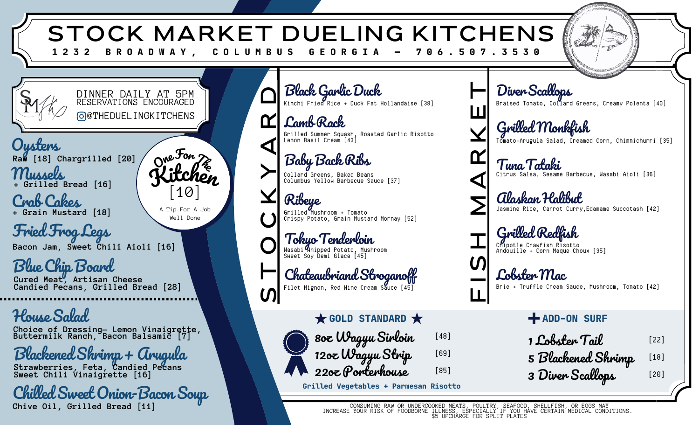